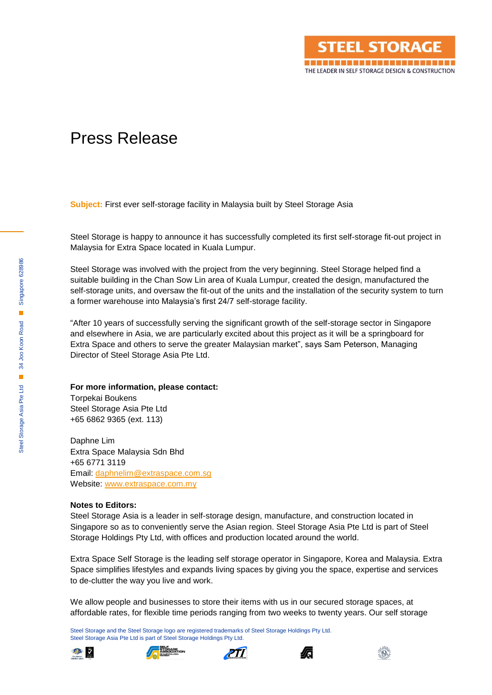

## Press Release

**Subject:** First ever self-storage facility in Malaysia built by Steel Storage Asia

Steel Storage is happy to announce it has successfully completed its first self-storage fit-out project in Malaysia for Extra Space located in Kuala Lumpur.

Steel Storage was involved with the project from the very beginning. Steel Storage helped find a suitable building in the Chan Sow Lin area of Kuala Lumpur, created the design, manufactured the self-storage units, and oversaw the fit-out of the units and the installation of the security system to turn a former warehouse into Malaysia's first 24/7 self-storage facility.

"After 10 years of successfully serving the significant growth of the self-storage sector in Singapore and elsewhere in Asia, we are particularly excited about this project as it will be a springboard for Extra Space and others to serve the greater Malaysian market", says Sam Peterson, Managing Director of Steel Storage Asia Pte Ltd.

## **For more information, please contact:**

Torpekai Boukens Steel Storage Asia Pte Ltd +65 6862 9365 (ext. 113)

Daphne Lim Extra Space Malaysia Sdn Bhd +65 6771 3119 Email: [daphnelim@extraspace.com.sg](mailto:daphnelim@extraspace.com.sg) Website: [www.extraspace.com.my](http://www.extraspace.com.my/)

## **Notes to Editors:**

Steel Storage Asia is a leader in self-storage design, manufacture, and construction located in Singapore so as to conveniently serve the Asian region. Steel Storage Asia Pte Ltd is part of Steel Storage Holdings Pty Ltd, with offices and production located around the world.

Extra Space Self Storage is the leading self storage operator in Singapore, Korea and Malaysia. Extra Space simplifies lifestyles and expands living spaces by giving you the space, expertise and services to de-clutter the way you live and work.

We allow people and businesses to store their items with us in our secured storage spaces, at affordable rates, for flexible time periods ranging from two weeks to twenty years. Our self storage

Steel Storage and the Steel Storage logo are registered trademarks of Steel Storage Holdings Pty Ltd. Steel Storage Asia Pte Ltd is part of Steel Storage Holdings Pty Ltd.